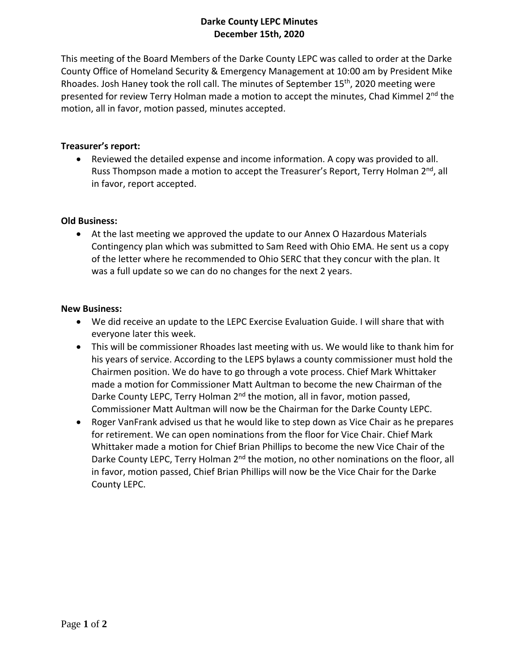# **Darke County LEPC Minutes December 15th, 2020**

This meeting of the Board Members of the Darke County LEPC was called to order at the Darke County Office of Homeland Security & Emergency Management at 10:00 am by President Mike Rhoades. Josh Haney took the roll call. The minutes of September 15<sup>th</sup>, 2020 meeting were presented for review Terry Holman made a motion to accept the minutes, Chad Kimmel 2<sup>nd</sup> the motion, all in favor, motion passed, minutes accepted.

## **Treasurer's report:**

 Reviewed the detailed expense and income information. A copy was provided to all. Russ Thompson made a motion to accept the Treasurer's Report, Terry Holman 2<sup>nd</sup>, all in favor, report accepted.

## **Old Business:**

 At the last meeting we approved the update to our Annex O Hazardous Materials Contingency plan which was submitted to Sam Reed with Ohio EMA. He sent us a copy of the letter where he recommended to Ohio SERC that they concur with the plan. It was a full update so we can do no changes for the next 2 years.

#### **New Business:**

- We did receive an update to the LEPC Exercise Evaluation Guide. I will share that with everyone later this week.
- This will be commissioner Rhoades last meeting with us. We would like to thank him for his years of service. According to the LEPS bylaws a county commissioner must hold the Chairmen position. We do have to go through a vote process. Chief Mark Whittaker made a motion for Commissioner Matt Aultman to become the new Chairman of the Darke County LEPC, Terry Holman 2<sup>nd</sup> the motion, all in favor, motion passed, Commissioner Matt Aultman will now be the Chairman for the Darke County LEPC.
- Roger VanFrank advised us that he would like to step down as Vice Chair as he prepares for retirement. We can open nominations from the floor for Vice Chair. Chief Mark Whittaker made a motion for Chief Brian Phillips to become the new Vice Chair of the Darke County LEPC, Terry Holman 2<sup>nd</sup> the motion, no other nominations on the floor, all in favor, motion passed, Chief Brian Phillips will now be the Vice Chair for the Darke County LEPC.